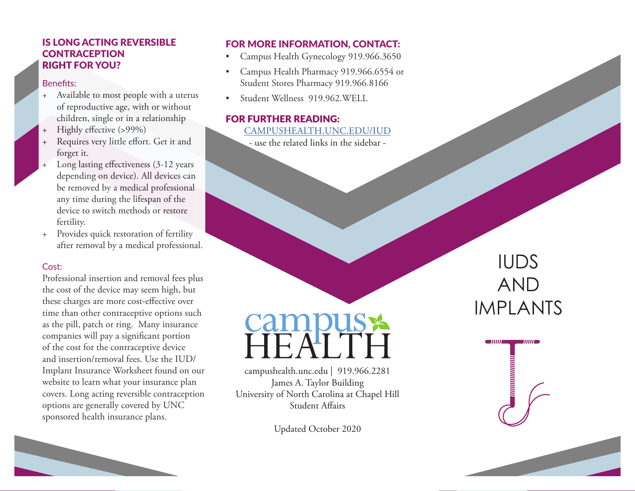#### IS LONG ACTING REVERSIBLE **CONTRACEPTION** RIGHT FOR YOU?

#### Benefits:

- + Available to most people with a uterus of reproductive age, with or without children, single or in a relationship
- Highly effective (>99%)
- Requires very little effort. Get it and forget it.
- Long lasting effectiveness (3-12 years depending on device). All devices can be removed by a medical professional any time during the lifespan of the device to switch methods or restore fertility.
- + Provides quick restoration of fertility after removal by a medical professional.

#### Cost:

Professional insertion and removal fees plus the cost of the device may seem high, but these charges are more cost-effective over time than other contraceptive options such as the pill, patch or ring. Many insurance companies will pay a significant portion of the cost for the contraceptive device and insertion/removal fees. Use the IUD/ Implant Insurance Worksheet found on our website to learn what your insurance plan covers. Long acting reversible contraception options are generally covered by UNC sponsored health insurance plans.

#### FOR MORE INFORMATION, CONTACT:

- Campus Health Gynecology 919.966.3650
- Campus Health Pharmacy 919.966.6554 or Student Stores Pharmacy 919.966.8166
- Student Wellness 919.962.WELL

#### FOR FURTHER READING:

#### [CAMPUSHEALTH.UNC.EDU/I](http://campushealth.unc.edu/larc)UD

- use the related links in the sidebar -

# **Campus x**

campushealth.unc.edu | 919.966.2281 James A. Taylor Building University of North Carolina at Chapel Hill Student Affairs

Updated October 2020

## IUDS AND IMPLANTS

**111111** 

ишшишш